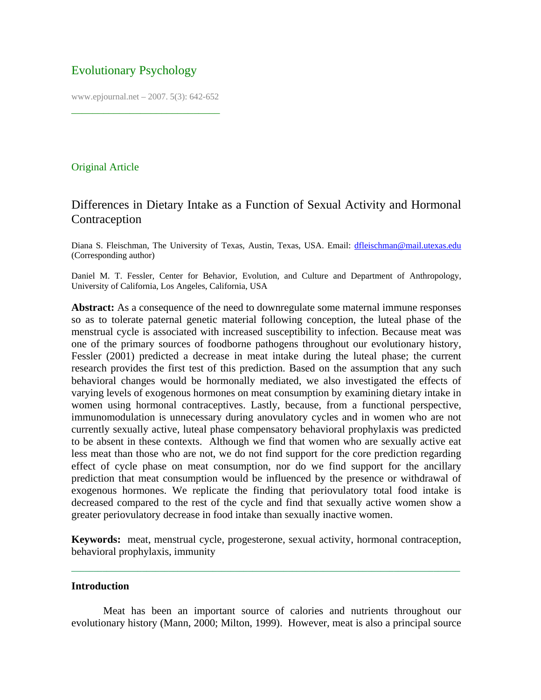# Evolutionary Psychology

www.epjournal.net – 2007. 5(3): 642-652

¯¯¯¯¯¯¯¯¯¯¯¯¯¯¯¯¯¯¯¯¯¯¯¯¯¯¯¯

# Original Article

# Differences in Dietary Intake as a Function of Sexual Activity and Hormonal Contraception

Diana S. Fleischman, The University of Texas, Austin, Texas, USA. Email: [dfleischman@mail.utexas.edu](mailto:dfleischman@mail.utexas.edu) (Corresponding author)

Daniel M. T. Fessler, Center for Behavior, Evolution, and Culture and Department of Anthropology, University of California, Los Angeles, California, USA

**Abstract:** As a consequence of the need to downregulate some maternal immune responses so as to tolerate paternal genetic material following conception, the luteal phase of the menstrual cycle is associated with increased susceptibility to infection. Because meat was one of the primary sources of foodborne pathogens throughout our evolutionary history, Fessler (2001) predicted a decrease in meat intake during the luteal phase; the current research provides the first test of this prediction. Based on the assumption that any such behavioral changes would be hormonally mediated, we also investigated the effects of varying levels of exogenous hormones on meat consumption by examining dietary intake in women using hormonal contraceptives. Lastly, because, from a functional perspective, immunomodulation is unnecessary during anovulatory cycles and in women who are not currently sexually active, luteal phase compensatory behavioral prophylaxis was predicted to be absent in these contexts. Although we find that women who are sexually active eat less meat than those who are not, we do not find support for the core prediction regarding effect of cycle phase on meat consumption, nor do we find support for the ancillary prediction that meat consumption would be influenced by the presence or withdrawal of exogenous hormones. We replicate the finding that periovulatory total food intake is decreased compared to the rest of the cycle and find that sexually active women show a greater periovulatory decrease in food intake than sexually inactive women.

**Keywords:** meat, menstrual cycle, progesterone, sexual activity, hormonal contraception, behavioral prophylaxis, immunity

**¯¯¯¯¯¯¯¯¯¯¯¯¯¯¯¯¯¯¯¯¯¯¯¯¯¯¯¯¯¯¯¯¯¯¯¯¯¯¯¯¯¯¯¯¯¯¯¯¯¯¯¯¯¯¯¯¯¯¯¯¯¯¯¯¯¯¯¯¯¯¯¯¯¯¯¯¯¯¯¯¯¯¯¯¯¯¯¯**

## **Introduction**

Meat has been an important source of calories and nutrients throughout our evolutionary history (Mann, 2000; Milton, 1999). However, meat is also a principal source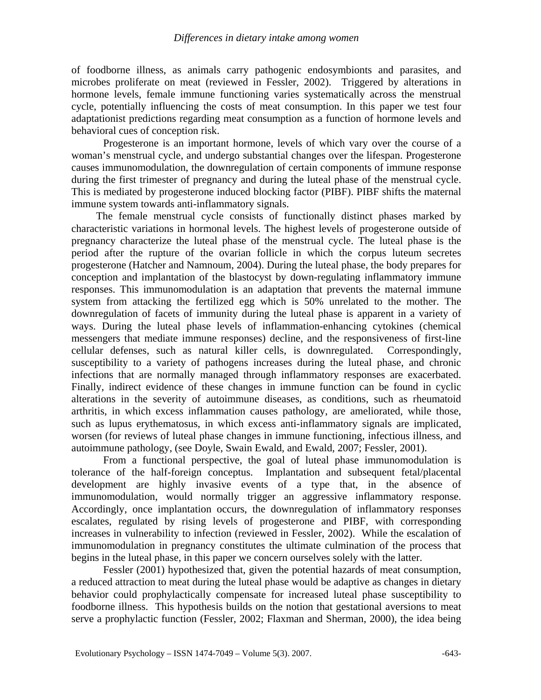of foodborne illness, as animals carry pathogenic endosymbionts and parasites, and microbes proliferate on meat (reviewed in Fessler, 2002). Triggered by alterations in hormone levels, female immune functioning varies systematically across the menstrual cycle, potentially influencing the costs of meat consumption. In this paper we test four adaptationist predictions regarding meat consumption as a function of hormone levels and behavioral cues of conception risk.

Progesterone is an important hormone, levels of which vary over the course of a woman's menstrual cycle, and undergo substantial changes over the lifespan. Progesterone causes immunomodulation, the downregulation of certain components of immune response during the first trimester of pregnancy and during the luteal phase of the menstrual cycle. This is mediated by progesterone induced blocking factor (PIBF). PIBF shifts the maternal immune system towards anti-inflammatory signals.

 The female menstrual cycle consists of functionally distinct phases marked by characteristic variations in hormonal levels. The highest levels of progesterone outside of pregnancy characterize the luteal phase of the menstrual cycle. The luteal phase is the period after the rupture of the ovarian follicle in which the corpus luteum secretes progesterone (Hatcher and Namnoum, 2004). During the luteal phase, the body prepares for conception and implantation of the blastocyst by down-regulating inflammatory immune responses. This immunomodulation is an adaptation that prevents the maternal immune system from attacking the fertilized egg which is 50% unrelated to the mother. The downregulation of facets of immunity during the luteal phase is apparent in a variety of ways. During the luteal phase levels of inflammation-enhancing cytokines (chemical messengers that mediate immune responses) decline, and the responsiveness of first-line cellular defenses, such as natural killer cells, is downregulated. Correspondingly, susceptibility to a variety of pathogens increases during the luteal phase, and chronic infections that are normally managed through inflammatory responses are exacerbated. Finally, indirect evidence of these changes in immune function can be found in cyclic alterations in the severity of autoimmune diseases, as conditions, such as rheumatoid arthritis, in which excess inflammation causes pathology, are ameliorated, while those, such as lupus erythematosus, in which excess anti-inflammatory signals are implicated, worsen (for reviews of luteal phase changes in immune functioning, infectious illness, and autoimmune pathology, (see Doyle, Swain Ewald, and Ewald, 2007; Fessler, 2001).

From a functional perspective, the goal of luteal phase immunomodulation is tolerance of the half-foreign conceptus. Implantation and subsequent fetal/placental development are highly invasive events of a type that, in the absence of immunomodulation, would normally trigger an aggressive inflammatory response. Accordingly, once implantation occurs, the downregulation of inflammatory responses escalates, regulated by rising levels of progesterone and PIBF, with corresponding increases in vulnerability to infection (reviewed in Fessler, 2002). While the escalation of immunomodulation in pregnancy constitutes the ultimate culmination of the process that begins in the luteal phase, in this paper we concern ourselves solely with the latter.

Fessler (2001) hypothesized that, given the potential hazards of meat consumption, a reduced attraction to meat during the luteal phase would be adaptive as changes in dietary behavior could prophylactically compensate for increased luteal phase susceptibility to foodborne illness. This hypothesis builds on the notion that gestational aversions to meat serve a prophylactic function (Fessler, 2002; Flaxman and Sherman, 2000), the idea being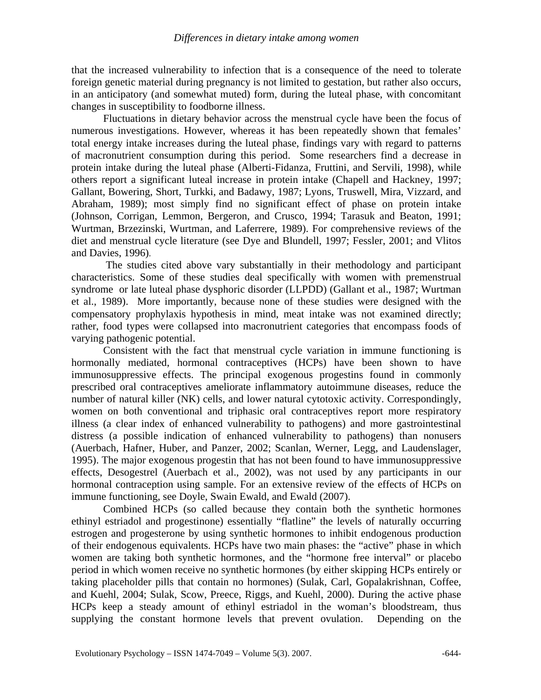that the increased vulnerability to infection that is a consequence of the need to tolerate foreign genetic material during pregnancy is not limited to gestation, but rather also occurs, in an anticipatory (and somewhat muted) form, during the luteal phase, with concomitant changes in susceptibility to foodborne illness.

Fluctuations in dietary behavior across the menstrual cycle have been the focus of numerous investigations. However, whereas it has been repeatedly shown that females' total energy intake increases during the luteal phase, findings vary with regard to patterns of macronutrient consumption during this period. Some researchers find a decrease in protein intake during the luteal phase (Alberti-Fidanza, Fruttini, and Servili, 1998), while others report a significant luteal increase in protein intake (Chapell and Hackney, 1997; Gallant, Bowering, Short, Turkki, and Badawy, 1987; Lyons, Truswell, Mira, Vizzard, and Abraham, 1989); most simply find no significant effect of phase on protein intake (Johnson, Corrigan, Lemmon, Bergeron, and Crusco, 1994; Tarasuk and Beaton, 1991; Wurtman, Brzezinski, Wurtman, and Laferrere, 1989). For comprehensive reviews of the diet and menstrual cycle literature (see Dye and Blundell, 1997; Fessler, 2001; and Vlitos and Davies, 1996).

 The studies cited above vary substantially in their methodology and participant characteristics. Some of these studies deal specifically with women with premenstrual syndrome or late luteal phase dysphoric disorder (LLPDD) (Gallant et al., 1987; Wurtman et al., 1989). More importantly, because none of these studies were designed with the compensatory prophylaxis hypothesis in mind, meat intake was not examined directly; rather, food types were collapsed into macronutrient categories that encompass foods of varying pathogenic potential.

Consistent with the fact that menstrual cycle variation in immune functioning is hormonally mediated, hormonal contraceptives (HCPs) have been shown to have immunosuppressive effects. The principal exogenous progestins found in commonly prescribed oral contraceptives ameliorate inflammatory autoimmune diseases, reduce the number of natural killer (NK) cells, and lower natural cytotoxic activity. Correspondingly, women on both conventional and triphasic oral contraceptives report more respiratory illness (a clear index of enhanced vulnerability to pathogens) and more gastrointestinal distress (a possible indication of enhanced vulnerability to pathogens) than nonusers (Auerbach, Hafner, Huber, and Panzer, 2002; Scanlan, Werner, Legg, and Laudenslager, 1995). The major exogenous progestin that has not been found to have immunosuppressive effects, Desogestrel (Auerbach et al., 2002), was not used by any participants in our hormonal contraception using sample. For an extensive review of the effects of HCPs on immune functioning, see Doyle, Swain Ewald, and Ewald (2007).

 Combined HCPs (so called because they contain both the synthetic hormones ethinyl estriadol and progestinone) essentially "flatline" the levels of naturally occurring estrogen and progesterone by using synthetic hormones to inhibit endogenous production of their endogenous equivalents. HCPs have two main phases: the "active" phase in which women are taking both synthetic hormones, and the "hormone free interval" or placebo period in which women receive no synthetic hormones (by either skipping HCPs entirely or taking placeholder pills that contain no hormones) (Sulak, Carl, Gopalakrishnan, Coffee, and Kuehl, 2004; Sulak, Scow, Preece, Riggs, and Kuehl, 2000). During the active phase HCPs keep a steady amount of ethinyl estriadol in the woman's bloodstream, thus supplying the constant hormone levels that prevent ovulation. Depending on the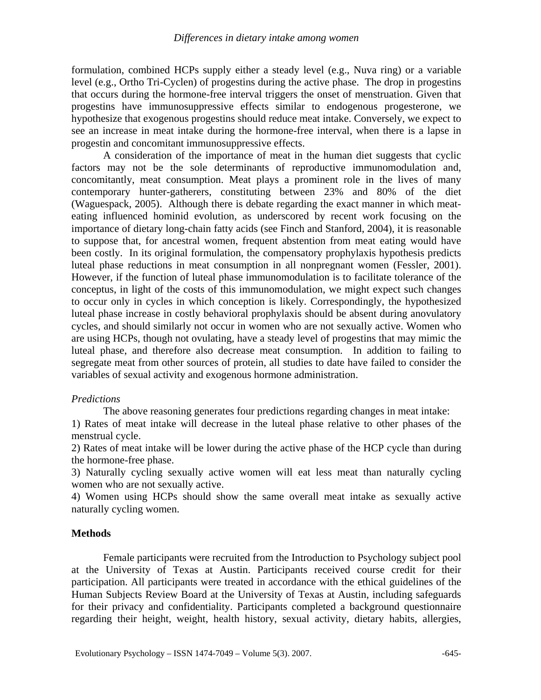formulation, combined HCPs supply either a steady level (e.g., Nuva ring) or a variable level (e.g., Ortho Tri-Cyclen) of progestins during the active phase. The drop in progestins that occurs during the hormone-free interval triggers the onset of menstruation. Given that progestins have immunosuppressive effects similar to endogenous progesterone, we hypothesize that exogenous progestins should reduce meat intake. Conversely, we expect to see an increase in meat intake during the hormone-free interval, when there is a lapse in progestin and concomitant immunosuppressive effects.

 A consideration of the importance of meat in the human diet suggests that cyclic factors may not be the sole determinants of reproductive immunomodulation and, concomitantly, meat consumption. Meat plays a prominent role in the lives of many contemporary hunter-gatherers, constituting between 23% and 80% of the diet (Waguespack, 2005). Although there is debate regarding the exact manner in which meateating influenced hominid evolution, as underscored by recent work focusing on the importance of dietary long-chain fatty acids (see Finch and Stanford, 2004), it is reasonable to suppose that, for ancestral women, frequent abstention from meat eating would have been costly. In its original formulation, the compensatory prophylaxis hypothesis predicts luteal phase reductions in meat consumption in all nonpregnant women (Fessler, 2001). However, if the function of luteal phase immunomodulation is to facilitate tolerance of the conceptus, in light of the costs of this immunomodulation, we might expect such changes to occur only in cycles in which conception is likely. Correspondingly, the hypothesized luteal phase increase in costly behavioral prophylaxis should be absent during anovulatory cycles, and should similarly not occur in women who are not sexually active. Women who are using HCPs, though not ovulating, have a steady level of progestins that may mimic the luteal phase, and therefore also decrease meat consumption. In addition to failing to segregate meat from other sources of protein, all studies to date have failed to consider the variables of sexual activity and exogenous hormone administration.

### *Predictions*

The above reasoning generates four predictions regarding changes in meat intake:

1) Rates of meat intake will decrease in the luteal phase relative to other phases of the menstrual cycle.

2) Rates of meat intake will be lower during the active phase of the HCP cycle than during the hormone-free phase.

3) Naturally cycling sexually active women will eat less meat than naturally cycling women who are not sexually active.

4) Women using HCPs should show the same overall meat intake as sexually active naturally cycling women.

## **Methods**

 Female participants were recruited from the Introduction to Psychology subject pool at the University of Texas at Austin. Participants received course credit for their participation. All participants were treated in accordance with the ethical guidelines of the Human Subjects Review Board at the University of Texas at Austin, including safeguards for their privacy and confidentiality. Participants completed a background questionnaire regarding their height, weight, health history, sexual activity, dietary habits, allergies,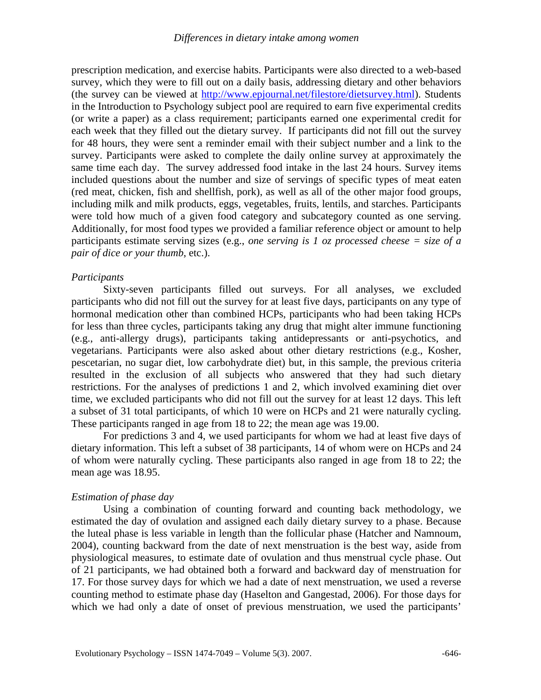prescription medication, and exercise habits. Participants were also directed to a web-based survey, which they were to fill out on a daily basis, addressing dietary and other behaviors (the survey can be viewed at [http://www.epjournal.net/filestore/dietsurvey.html\)](http://www.epjournal.net/filestore/dietsurvey.html). Students in the Introduction to Psychology subject pool are required to earn five experimental credits (or write a paper) as a class requirement; participants earned one experimental credit for each week that they filled out the dietary survey. If participants did not fill out the survey for 48 hours, they were sent a reminder email with their subject number and a link to the survey. Participants were asked to complete the daily online survey at approximately the same time each day. The survey addressed food intake in the last 24 hours. Survey items included questions about the number and size of servings of specific types of meat eaten (red meat, chicken, fish and shellfish, pork), as well as all of the other major food groups, including milk and milk products, eggs, vegetables, fruits, lentils, and starches. Participants were told how much of a given food category and subcategory counted as one serving. Additionally, for most food types we provided a familiar reference object or amount to help participants estimate serving sizes (e.g., *one serving is 1 oz processed cheese = size of a pair of dice or your thumb*, etc.).

#### *Participants*

Sixty-seven participants filled out surveys. For all analyses, we excluded participants who did not fill out the survey for at least five days, participants on any type of hormonal medication other than combined HCPs, participants who had been taking HCPs for less than three cycles, participants taking any drug that might alter immune functioning (e.g., anti-allergy drugs), participants taking antidepressants or anti-psychotics, and vegetarians. Participants were also asked about other dietary restrictions (e.g., Kosher, pescetarian, no sugar diet, low carbohydrate diet) but, in this sample, the previous criteria resulted in the exclusion of all subjects who answered that they had such dietary restrictions. For the analyses of predictions 1 and 2, which involved examining diet over time, we excluded participants who did not fill out the survey for at least 12 days. This left a subset of 31 total participants, of which 10 were on HCPs and 21 were naturally cycling. These participants ranged in age from 18 to 22; the mean age was 19.00.

For predictions 3 and 4, we used participants for whom we had at least five days of dietary information. This left a subset of 38 participants, 14 of whom were on HCPs and 24 of whom were naturally cycling. These participants also ranged in age from 18 to 22; the mean age was 18.95.

#### *Estimation of phase day*

Using a combination of counting forward and counting back methodology, we estimated the day of ovulation and assigned each daily dietary survey to a phase. Because the luteal phase is less variable in length than the follicular phase (Hatcher and Namnoum, 2004), counting backward from the date of next menstruation is the best way, aside from physiological measures, to estimate date of ovulation and thus menstrual cycle phase. Out of 21 participants, we had obtained both a forward and backward day of menstruation for 17. For those survey days for which we had a date of next menstruation, we used a reverse counting method to estimate phase day (Haselton and Gangestad, 2006). For those days for which we had only a date of onset of previous menstruation, we used the participants'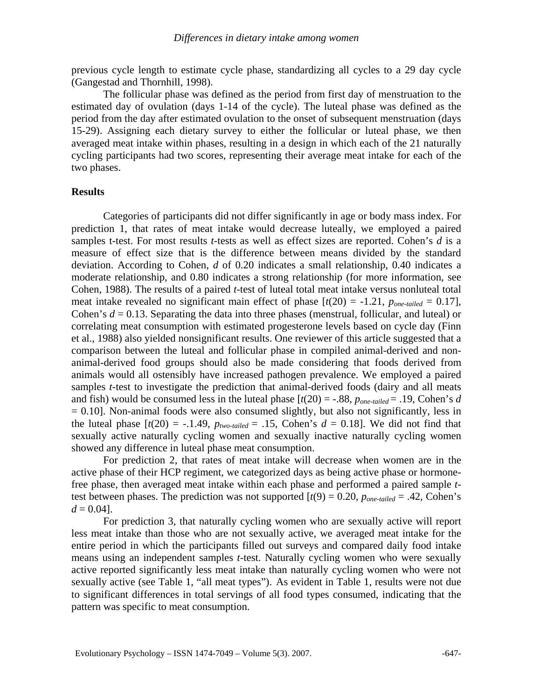previous cycle length to estimate cycle phase, standardizing all cycles to a 29 day cycle (Gangestad and Thornhill, 1998).

The follicular phase was defined as the period from first day of menstruation to the estimated day of ovulation (days 1-14 of the cycle). The luteal phase was defined as the period from the day after estimated ovulation to the onset of subsequent menstruation (days 15-29). Assigning each dietary survey to either the follicular or luteal phase, we then averaged meat intake within phases, resulting in a design in which each of the 21 naturally cycling participants had two scores, representing their average meat intake for each of the two phases.

## **Results**

Categories of participants did not differ significantly in age or body mass index. For prediction 1, that rates of meat intake would decrease luteally, we employed a paired samples t-test. For most results *t*-tests as well as effect sizes are reported. Cohen's *d* is a measure of effect size that is the difference between means divided by the standard deviation. According to Cohen, *d* of 0.20 indicates a small relationship, 0.40 indicates a moderate relationship, and 0.80 indicates a strong relationship (for more information, see Cohen, 1988). The results of a paired *t*-test of luteal total meat intake versus nonluteal total meat intake revealed no significant main effect of phase  $[t(20) = -1.21, p_{one-tailed} = 0.17]$ , Cohen's *d* = 0.13. Separating the data into three phases (menstrual, follicular, and luteal) or correlating meat consumption with estimated progesterone levels based on cycle day (Finn et al., 1988) also yielded nonsignificant results. One reviewer of this article suggested that a comparison between the luteal and follicular phase in compiled animal-derived and nonanimal-derived food groups should also be made considering that foods derived from animals would all ostensibly have increased pathogen prevalence. We employed a paired samples *t*-test to investigate the prediction that animal-derived foods (dairy and all meats and fish) would be consumed less in the luteal phase  $\left[\frac{t(20)}{2}\right] = -.88$ ,  $p_{one-tailed} = .19$ , Cohen's *d* = 0.10]. Non-animal foods were also consumed slightly, but also not significantly, less in the luteal phase  $[t(20) = -.1.49, p_{two-tailed} = .15, \text{ Cohen's } d = 0.18]$ . We did not find that sexually active naturally cycling women and sexually inactive naturally cycling women showed any difference in luteal phase meat consumption.

 For prediction 2, that rates of meat intake will decrease when women are in the active phase of their HCP regiment, we categorized days as being active phase or hormonefree phase, then averaged meat intake within each phase and performed a paired sample *t*test between phases. The prediction was not supported  $[t(9) = 0.20, p_{one-tailed} = .42, Cohen's$  $d = 0.04$ .

 For prediction 3, that naturally cycling women who are sexually active will report less meat intake than those who are not sexually active, we averaged meat intake for the entire period in which the participants filled out surveys and compared daily food intake means using an independent samples *t*-test. Naturally cycling women who were sexually active reported significantly less meat intake than naturally cycling women who were not sexually active (see Table 1, "all meat types"). As evident in Table 1, results were not due to significant differences in total servings of all food types consumed, indicating that the pattern was specific to meat consumption.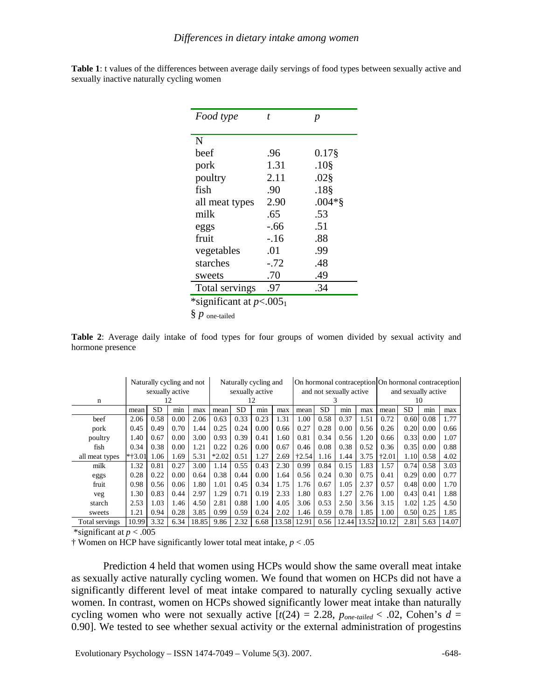| Food type                          | t      | p         |  |  |  |  |  |  |
|------------------------------------|--------|-----------|--|--|--|--|--|--|
| N                                  |        |           |  |  |  |  |  |  |
| beef                               | .96    | $0.17$ §  |  |  |  |  |  |  |
| pork                               | 1.31   | .108      |  |  |  |  |  |  |
| poultry                            | 2.11   | .028      |  |  |  |  |  |  |
| fish                               | .90    | .188      |  |  |  |  |  |  |
| all meat types                     | 2.90   | $.004*$ § |  |  |  |  |  |  |
| milk                               | .65    | .53       |  |  |  |  |  |  |
| eggs                               | $-.66$ | .51       |  |  |  |  |  |  |
| fruit                              | $-16$  | .88       |  |  |  |  |  |  |
| vegetables                         | .01    | .99       |  |  |  |  |  |  |
| starches                           | $-.72$ | .48       |  |  |  |  |  |  |
| sweets                             | .70    | .49       |  |  |  |  |  |  |
| Total servings                     | .97    | .34       |  |  |  |  |  |  |
| $*$ cionificant at n $\sim$<br>∩∩< |        |           |  |  |  |  |  |  |

**Table 1**: t values of the differences between average daily servings of food types between sexually active and sexually inactive naturally cycling women

significant at  $p<.005<sub>1</sub>$ 

§ *p* one-tailed

**Table 2**: Average daily intake of food types for four groups of women divided by sexual activity and hormone presence

|                | Naturally cycling and not |                 |      |       | Naturally cycling and |           |                         |      |             |                     |       | On hormonal contraception On hormonal contraception |         |           |      |       |
|----------------|---------------------------|-----------------|------|-------|-----------------------|-----------|-------------------------|------|-------------|---------------------|-------|-----------------------------------------------------|---------|-----------|------|-------|
|                |                           | sexually active |      |       | sexually active       |           | and not sexually active |      |             | and sexually active |       |                                                     |         |           |      |       |
| n              | 12                        |                 |      | 12    |                       |           |                         |      |             | 10                  |       |                                                     |         |           |      |       |
|                | mean                      | <b>SD</b>       | min  | max   | mean                  | <b>SD</b> | min                     | max  | mean        | SD                  | min   | max                                                 | mean    | <b>SD</b> | min  | max   |
| beef           | 2.06                      | 0.58            | 0.00 | 2.06  | 0.63                  | 0.33      | 0.23                    | 1.31 | 1.00        | 0.58                | 0.37  | 1.51                                                | 0.72    | 0.60      | 0.08 | 1.77  |
| pork           | 0.45                      | 0.49            | 0.70 | 1.44  | 0.25                  | 0.24      | 0.00                    | 0.66 | 0.27        | 0.28                | 0.00  | 0.56                                                | 0.26    | 0.20      | 0.00 | 0.66  |
| poultry        | 1.40                      | 0.67            | 0.00 | 3.00  | 0.93                  | 0.39      | 0.41                    | 1.60 | 0.81        | 0.34                | 0.56  | 1.20                                                | 0.66    | 0.33      | 0.00 | 1.07  |
| fish           | 0.34                      | 0.38            | 0.00 | 1.21  | 0.22                  | 0.26      | 0.00                    | 0.67 | 0.46        | 0.08                | 0.38  | 0.52                                                | 0.36    | 0.35      | 0.00 | 0.88  |
| all meat types | $*+3.01$                  | 1.06            | 1.69 | 5.31  | $*2.02$               | 0.51      | 1.27                    | 2.69 | $+2.54$     | 1.16                | 1.44  | 3.75                                                | $+2.01$ | 1.10      | 0.58 | 4.02  |
| milk           | 1.32                      | 0.81            | 0.27 | 3.00  | 1.14                  | 0.55      | 0.43                    | 2.30 | 0.99        | 0.84                | 0.15  | 1.83                                                | 1.57    | 0.74      | 0.58 | 3.03  |
| eggs           | 0.28                      | 0.22            | 0.00 | 0.64  | 0.38                  | 0.44      | 0.00                    | 1.64 | 0.56        | 0.24                | 0.30  | 0.75                                                | 0.41    | 0.29      | 0.00 | 0.77  |
| fruit          | 0.98                      | 0.56            | 0.06 | 1.80  | 1.01                  | 0.45      | 0.34                    | 1.75 | 1.76        | 0.67                | 1.05  | 2.37                                                | 0.57    | 0.48      | 0.00 | 1.70  |
| veg            | 1.30                      | 0.83            | 0.44 | 2.97  | 1.29                  | 0.71      | 0.19                    | 2.33 | 1.80        | 0.83                | 1.27  | 2.76                                                | 1.00    | 0.43      | 0.41 | 1.88  |
| starch         | 2.53                      | 1.03            | 1.46 | 4.50  | 2.81                  | 0.88      | 1.00                    | 4.05 | 3.06        | 0.53                | 2.50  | 3.56                                                | 3.15    | 1.02      | 1.25 | 4.50  |
| sweets         | 1.21                      | 0.94            | 0.28 | 3.85  | 0.99                  | 0.59      | 0.24                    | 2.02 | 1.46        | 0.59                | 0.78  | 1.85                                                | 1.00    | 0.50      | 0.25 | 1.85  |
| Total servings | 10.99                     | 3.32            | 6.34 | 18.85 | 9.86                  | 2.32      | 6.68                    |      | 13.58 12.91 | 0.56                | 12.44 | 13.52 10.12                                         |         | 2.81      | 5.63 | 14.07 |

\*significant at *p* < .005

† Women on HCP have significantly lower total meat intake, *p* < .05

 Prediction 4 held that women using HCPs would show the same overall meat intake as sexually active naturally cycling women. We found that women on HCPs did not have a significantly different level of meat intake compared to naturally cycling sexually active women. In contrast, women on HCPs showed significantly lower meat intake than naturally cycling women who were not sexually active  $[t(24) = 2.28, p_{one-tailed} < .02,$  Cohen's  $d =$ 0.90]. We tested to see whether sexual activity or the external administration of progestins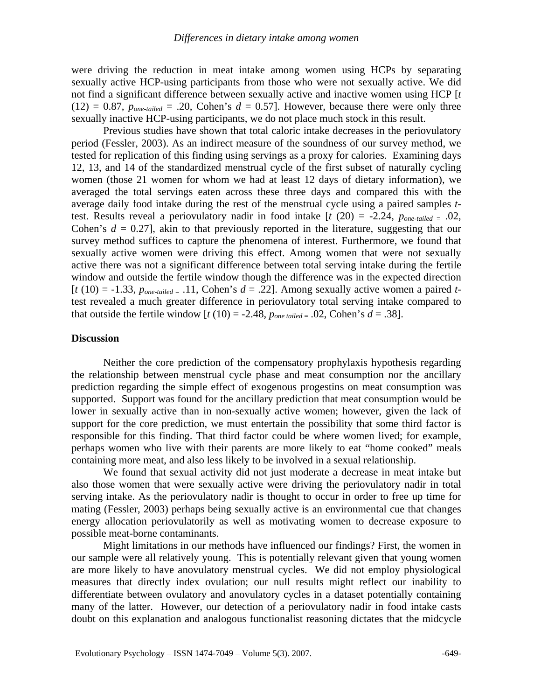were driving the reduction in meat intake among women using HCPs by separating sexually active HCP-using participants from those who were not sexually active. We did not find a significant difference between sexually active and inactive women using HCP [*t*  $(12) = 0.87$ ,  $p_{one-tailed} = .20$ , Cohen's  $d = 0.57$ . However, because there were only three sexually inactive HCP-using participants, we do not place much stock in this result.

 Previous studies have shown that total caloric intake decreases in the periovulatory period (Fessler, 2003). As an indirect measure of the soundness of our survey method, we tested for replication of this finding using servings as a proxy for calories. Examining days 12, 13, and 14 of the standardized menstrual cycle of the first subset of naturally cycling women (those 21 women for whom we had at least 12 days of dietary information), we averaged the total servings eaten across these three days and compared this with the average daily food intake during the rest of the menstrual cycle using a paired samples *t*test. Results reveal a periovulatory nadir in food intake  $[t (20) = -2.24, p_{one-tailed} = .02,$ Cohen's  $d = 0.27$ , akin to that previously reported in the literature, suggesting that our survey method suffices to capture the phenomena of interest. Furthermore, we found that sexually active women were driving this effect. Among women that were not sexually active there was not a significant difference between total serving intake during the fertile window and outside the fertile window though the difference was in the expected direction  $[t(10) = -1.33, p_{one-tailed} = .11, \text{Cohen's } d = .22].$  Among sexually active women a paired *t*test revealed a much greater difference in periovulatory total serving intake compared to that outside the fertile window  $[t(10) = -2.48, p_{one \{ 1} \}$  = .02, Cohen's  $d = .38$ .

### **Discussion**

 Neither the core prediction of the compensatory prophylaxis hypothesis regarding the relationship between menstrual cycle phase and meat consumption nor the ancillary prediction regarding the simple effect of exogenous progestins on meat consumption was supported. Support was found for the ancillary prediction that meat consumption would be lower in sexually active than in non-sexually active women; however, given the lack of support for the core prediction, we must entertain the possibility that some third factor is responsible for this finding. That third factor could be where women lived; for example, perhaps women who live with their parents are more likely to eat "home cooked" meals containing more meat, and also less likely to be involved in a sexual relationship.

 We found that sexual activity did not just moderate a decrease in meat intake but also those women that were sexually active were driving the periovulatory nadir in total serving intake. As the periovulatory nadir is thought to occur in order to free up time for mating (Fessler, 2003) perhaps being sexually active is an environmental cue that changes energy allocation periovulatorily as well as motivating women to decrease exposure to possible meat-borne contaminants.

 Might limitations in our methods have influenced our findings? First, the women in our sample were all relatively young. This is potentially relevant given that young women are more likely to have anovulatory menstrual cycles. We did not employ physiological measures that directly index ovulation; our null results might reflect our inability to differentiate between ovulatory and anovulatory cycles in a dataset potentially containing many of the latter. However, our detection of a periovulatory nadir in food intake casts doubt on this explanation and analogous functionalist reasoning dictates that the midcycle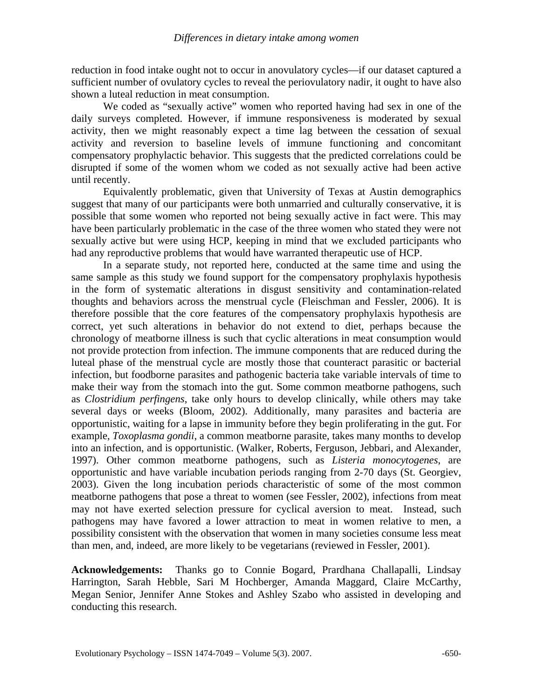reduction in food intake ought not to occur in anovulatory cycles—if our dataset captured a sufficient number of ovulatory cycles to reveal the periovulatory nadir, it ought to have also shown a luteal reduction in meat consumption.

 We coded as "sexually active" women who reported having had sex in one of the daily surveys completed. However, if immune responsiveness is moderated by sexual activity, then we might reasonably expect a time lag between the cessation of sexual activity and reversion to baseline levels of immune functioning and concomitant compensatory prophylactic behavior. This suggests that the predicted correlations could be disrupted if some of the women whom we coded as not sexually active had been active until recently.

 Equivalently problematic, given that University of Texas at Austin demographics suggest that many of our participants were both unmarried and culturally conservative, it is possible that some women who reported not being sexually active in fact were. This may have been particularly problematic in the case of the three women who stated they were not sexually active but were using HCP, keeping in mind that we excluded participants who had any reproductive problems that would have warranted therapeutic use of HCP.

 In a separate study, not reported here, conducted at the same time and using the same sample as this study we found support for the compensatory prophylaxis hypothesis in the form of systematic alterations in disgust sensitivity and contamination-related thoughts and behaviors across the menstrual cycle (Fleischman and Fessler, 2006). It is therefore possible that the core features of the compensatory prophylaxis hypothesis are correct, yet such alterations in behavior do not extend to diet, perhaps because the chronology of meatborne illness is such that cyclic alterations in meat consumption would not provide protection from infection. The immune components that are reduced during the luteal phase of the menstrual cycle are mostly those that counteract parasitic or bacterial infection, but foodborne parasites and pathogenic bacteria take variable intervals of time to make their way from the stomach into the gut. Some common meatborne pathogens, such as *Clostridium perfingens*, take only hours to develop clinically, while others may take several days or weeks (Bloom, 2002). Additionally, many parasites and bacteria are opportunistic, waiting for a lapse in immunity before they begin proliferating in the gut. For example, *Toxoplasma gondii*, a common meatborne parasite, takes many months to develop into an infection, and is opportunistic. (Walker, Roberts, Ferguson, Jebbari, and Alexander, 1997). Other common meatborne pathogens, such as *Listeria monocytogenes*, are opportunistic and have variable incubation periods ranging from 2-70 days (St. Georgiev, 2003). Given the long incubation periods characteristic of some of the most common meatborne pathogens that pose a threat to women (see Fessler, 2002), infections from meat may not have exerted selection pressure for cyclical aversion to meat. Instead, such pathogens may have favored a lower attraction to meat in women relative to men, a possibility consistent with the observation that women in many societies consume less meat than men, and, indeed, are more likely to be vegetarians (reviewed in Fessler, 2001).

**Acknowledgements:** Thanks go to Connie Bogard, Prardhana Challapalli, Lindsay Harrington, Sarah Hebble, Sari M Hochberger, Amanda Maggard, Claire McCarthy, Megan Senior, Jennifer Anne Stokes and Ashley Szabo who assisted in developing and conducting this research.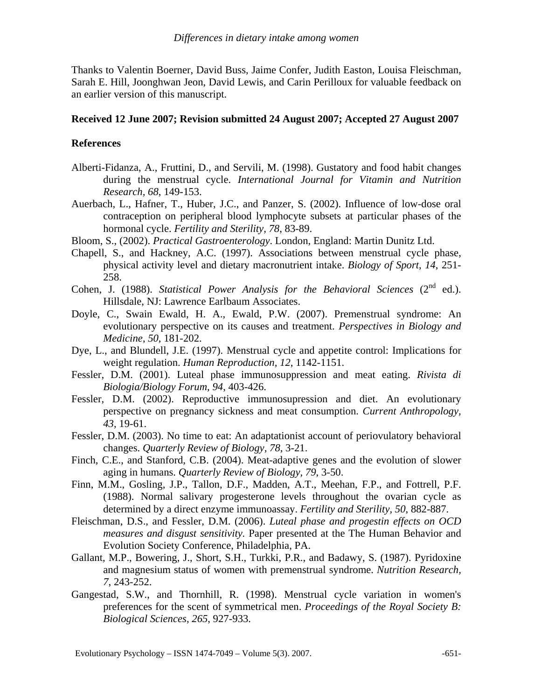Thanks to Valentin Boerner, David Buss, Jaime Confer, Judith Easton, Louisa Fleischman, Sarah E. Hill, Joonghwan Jeon, David Lewis, and Carin Perilloux for valuable feedback on an earlier version of this manuscript.

## **Received 12 June 2007; Revision submitted 24 August 2007; Accepted 27 August 2007**

## **References**

- Alberti-Fidanza, A., Fruttini, D., and Servili, M. (1998). Gustatory and food habit changes during the menstrual cycle. *International Journal for Vitamin and Nutrition Research, 68*, 149-153.
- Auerbach, L., Hafner, T., Huber, J.C., and Panzer, S. (2002). Influence of low-dose oral contraception on peripheral blood lymphocyte subsets at particular phases of the hormonal cycle. *Fertility and Sterility, 78*, 83-89.
- Bloom, S., (2002). *Practical Gastroenterology*. London, England: Martin Dunitz Ltd.
- Chapell, S., and Hackney, A.C. (1997). Associations between menstrual cycle phase, physical activity level and dietary macronutrient intake. *Biology of Sport, 14*, 251- 258.
- Cohen, J. (1988). *Statistical Power Analysis for the Behavioral Sciences* (2<sup>nd</sup> ed.). Hillsdale, NJ: Lawrence Earlbaum Associates.
- Doyle, C., Swain Ewald, H. A., Ewald, P.W. (2007). Premenstrual syndrome: An evolutionary perspective on its causes and treatment. *Perspectives in Biology and Medicine*, *50*, 181-202.
- Dye, L., and Blundell, J.E. (1997). Menstrual cycle and appetite control: Implications for weight regulation. *Human Reproduction, 12*, 1142-1151.
- Fessler, D.M. (2001). Luteal phase immunosuppression and meat eating. *Rivista di Biologia/Biology Forum, 94*, 403-426.
- Fessler, D.M. (2002). Reproductive immunosupression and diet. An evolutionary perspective on pregnancy sickness and meat consumption. *Current Anthropology, 43*, 19-61.
- Fessler, D.M. (2003). No time to eat: An adaptationist account of periovulatory behavioral changes. *Quarterly Review of Biology, 78*, 3-21.
- Finch, C.E., and Stanford, C.B. (2004). Meat-adaptive genes and the evolution of slower aging in humans. *Quarterly Review of Biology, 79*, 3-50.
- Finn, M.M., Gosling, J.P., Tallon, D.F., Madden, A.T., Meehan, F.P., and Fottrell, P.F. (1988). Normal salivary progesterone levels throughout the ovarian cycle as determined by a direct enzyme immunoassay. *Fertility and Sterility, 50*, 882-887.
- Fleischman, D.S., and Fessler, D.M. (2006). *Luteal phase and progestin effects on OCD measures and disgust sensitivity.* Paper presented at the The Human Behavior and Evolution Society Conference, Philadelphia, PA.
- Gallant, M.P., Bowering, J., Short, S.H., Turkki, P.R., and Badawy, S. (1987). Pyridoxine and magnesium status of women with premenstrual syndrome. *Nutrition Research, 7*, 243-252.
- Gangestad, S.W., and Thornhill, R. (1998). Menstrual cycle variation in women's preferences for the scent of symmetrical men. *Proceedings of the Royal Society B: Biological Sciences, 265*, 927-933.